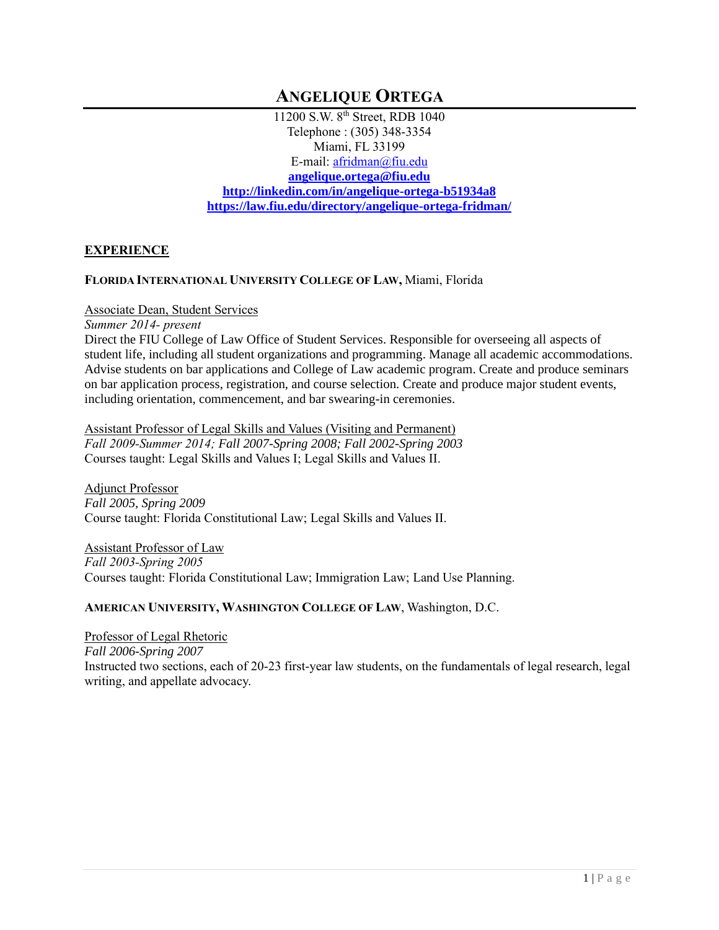# **ANGELIQUE ORTEGA**

11200 S.W. 8th Street, RDB 1040 Telephone : (305) 348-3354 Miami, FL 33199 E-mail: [afridman@fiu.edu](mailto:afridman@fiu.edu) **[angelique.ortega@fiu.edu](mailto:afridman@fiu.edu) <http://linkedin.com/in/angelique-ortega-b51934a8> <https://law.fiu.edu/directory/angelique-ortega-fridman/>**

# **EXPERIENCE**

### **FLORIDA INTERNATIONAL UNIVERSITY COLLEGE OF LAW,** Miami, Florida

### Associate Dean, Student Services

*Summer 2014- present*

Direct the FIU College of Law Office of Student Services. Responsible for overseeing all aspects of student life, including all student organizations and programming. Manage all academic accommodations. Advise students on bar applications and College of Law academic program. Create and produce seminars on bar application process, registration, and course selection. Create and produce major student events, including orientation, commencement, and bar swearing-in ceremonies.

Assistant Professor of Legal Skills and Values (Visiting and Permanent) *Fall 2009-Summer 2014; Fall 2007-Spring 2008; Fall 2002-Spring 2003* Courses taught: Legal Skills and Values I; Legal Skills and Values II.

Adjunct Professor *Fall 2005, Spring 2009* Course taught: Florida Constitutional Law; Legal Skills and Values II.

Assistant Professor of Law *Fall 2003-Spring 2005* Courses taught: Florida Constitutional Law; Immigration Law; Land Use Planning.

### **AMERICAN UNIVERSITY, WASHINGTON COLLEGE OF LAW**, Washington, D.C.

Professor of Legal Rhetoric *Fall 2006-Spring 2007* Instructed two sections, each of 20-23 first-year law students, on the fundamentals of legal research, legal writing, and appellate advocacy.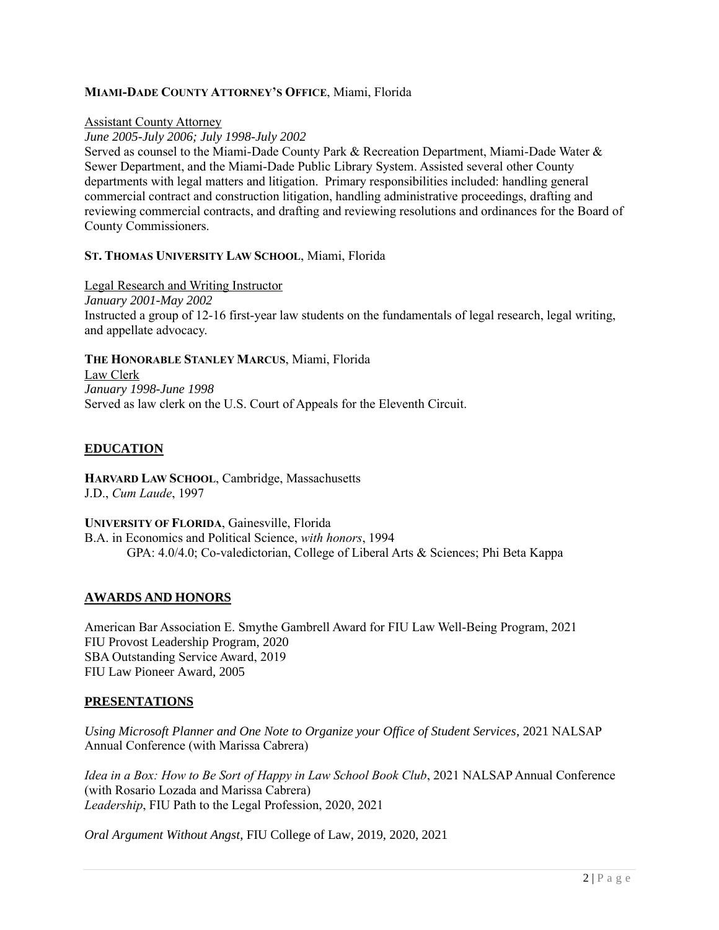### **MIAMI-DADE COUNTY ATTORNEY'S OFFICE**, Miami, Florida

#### Assistant County Attorney

*June 2005-July 2006; July 1998-July 2002*

Served as counsel to the Miami-Dade County Park & Recreation Department, Miami-Dade Water & Sewer Department, and the Miami-Dade Public Library System. Assisted several other County departments with legal matters and litigation. Primary responsibilities included: handling general commercial contract and construction litigation, handling administrative proceedings, drafting and reviewing commercial contracts, and drafting and reviewing resolutions and ordinances for the Board of County Commissioners.

### **ST. THOMAS UNIVERSITY LAW SCHOOL**, Miami, Florida

Legal Research and Writing Instructor *January 2001-May 2002* Instructed a group of 12-16 first-year law students on the fundamentals of legal research, legal writing, and appellate advocacy.

**THE HONORABLE STANLEY MARCUS**, Miami, Florida Law Clerk *January 1998-June 1998* Served as law clerk on the U.S. Court of Appeals for the Eleventh Circuit.

# **EDUCATION**

**HARVARD LAW SCHOOL**, Cambridge, Massachusetts J.D., *Cum Laude*, 1997

**UNIVERSITY OF FLORIDA**, Gainesville, Florida B.A. in Economics and Political Science, *with honors*, 1994 GPA: 4.0/4.0; Co-valedictorian, College of Liberal Arts & Sciences; Phi Beta Kappa

# **AWARDS AND HONORS**

American Bar Association E. Smythe Gambrell Award for FIU Law Well-Being Program, 2021 FIU Provost Leadership Program, 2020 SBA Outstanding Service Award, 2019 FIU Law Pioneer Award, 2005

### **PRESENTATIONS**

*Using Microsoft Planner and One Note to Organize your Office of Student Services*, 2021 NALSAP Annual Conference (with Marissa Cabrera)

*Idea in a Box: How to Be Sort of Happy in Law School Book Club*, 2021 NALSAP Annual Conference (with Rosario Lozada and Marissa Cabrera) *Leadership*, FIU Path to the Legal Profession, 2020, 2021

*Oral Argument Without Angst*, FIU College of Law, 2019, 2020, 2021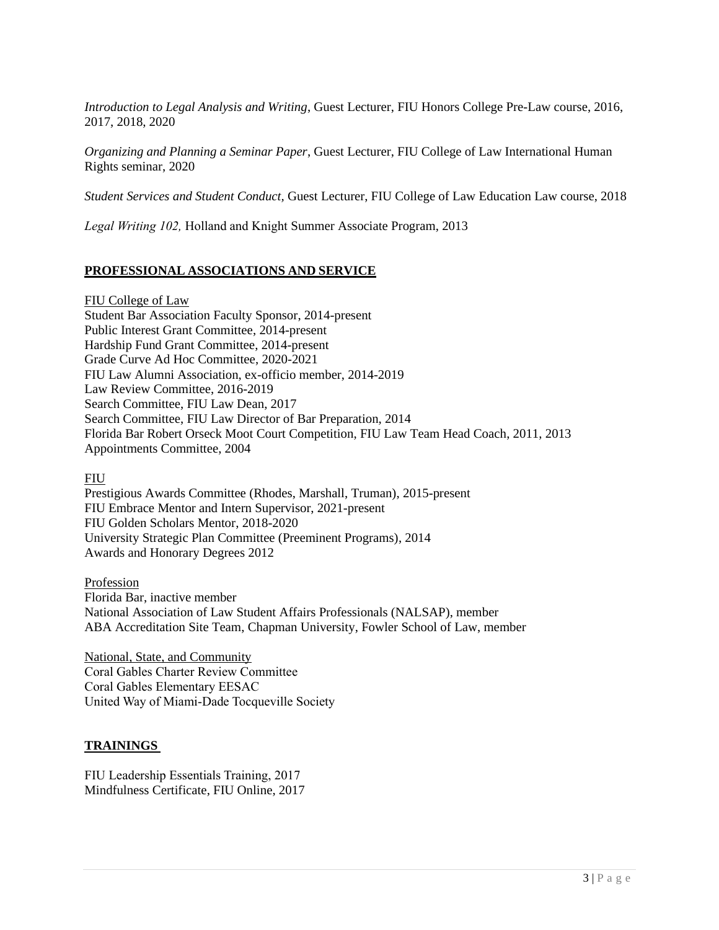*Introduction to Legal Analysis and Writing*, Guest Lecturer, FIU Honors College Pre-Law course, 2016, 2017, 2018, 2020

*Organizing and Planning a Seminar Paper*, Guest Lecturer, FIU College of Law International Human Rights seminar, 2020

*Student Services and Student Conduct,* Guest Lecturer, FIU College of Law Education Law course, 2018

*Legal Writing 102,* Holland and Knight Summer Associate Program, 2013

### **PROFESSIONAL ASSOCIATIONS AND SERVICE**

FIU College of Law

Student Bar Association Faculty Sponsor, 2014-present Public Interest Grant Committee, 2014-present Hardship Fund Grant Committee, 2014-present Grade Curve Ad Hoc Committee, 2020-2021 FIU Law Alumni Association, ex-officio member, 2014-2019 Law Review Committee, 2016-2019 Search Committee, FIU Law Dean, 2017 Search Committee, FIU Law Director of Bar Preparation, 2014 Florida Bar Robert Orseck Moot Court Competition, FIU Law Team Head Coach, 2011, 2013 Appointments Committee, 2004

#### FIU

Prestigious Awards Committee (Rhodes, Marshall, Truman), 2015-present FIU Embrace Mentor and Intern Supervisor, 2021-present FIU Golden Scholars Mentor, 2018-2020 University Strategic Plan Committee (Preeminent Programs), 2014 Awards and Honorary Degrees 2012

#### Profession

Florida Bar, inactive member National Association of Law Student Affairs Professionals (NALSAP), member ABA Accreditation Site Team, Chapman University, Fowler School of Law, member

National, State, and Community Coral Gables Charter Review Committee Coral Gables Elementary EESAC United Way of Miami-Dade Tocqueville Society

### **TRAININGS**

FIU Leadership Essentials Training, 2017 Mindfulness Certificate, FIU Online, 2017